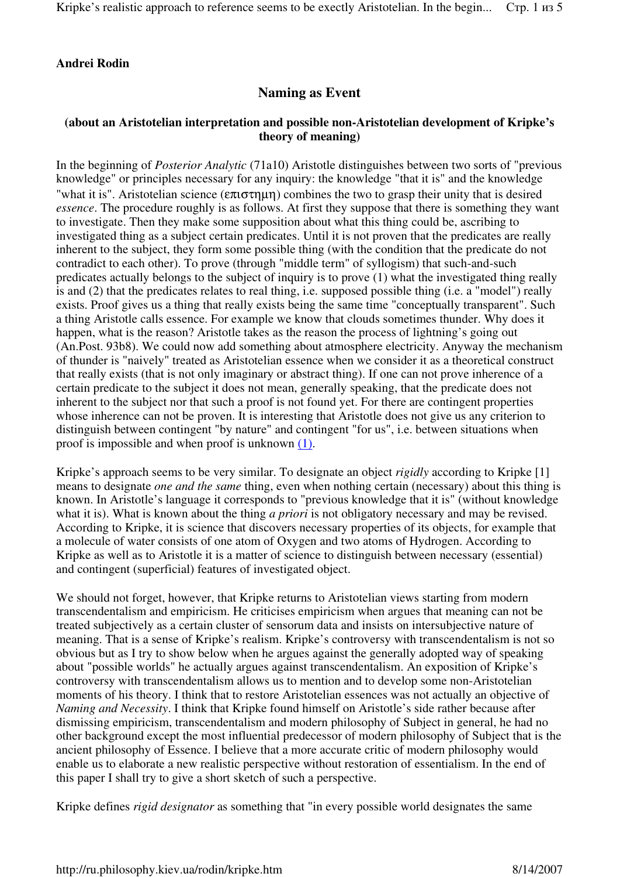## **Andrei Rodin**

# **Naming as Event**

## **(about an Aristotelian interpretation and possible non-Aristotelian development of Kripke's theory of meaning)**

In the beginning of *Posterior Analytic* (71a10) Aristotle distinguishes between two sorts of "previous knowledge" or principles necessary for any inquiry: the knowledge "that it is" and the knowledge "what it is". Aristotelian science  $(\epsilon \pi \tau \sigma \tau \mu \eta)$  combines the two to grasp their unity that is desired *essence*. The procedure roughly is as follows. At first they suppose that there is something they want to investigate. Then they make some supposition about what this thing could be, ascribing to investigated thing as a subject certain predicates. Until it is not proven that the predicates are really inherent to the subject, they form some possible thing (with the condition that the predicate do not contradict to each other). To prove (through "middle term" of syllogism) that such-and-such predicates actually belongs to the subject of inquiry is to prove (1) what the investigated thing really is and (2) that the predicates relates to real thing, i.e. supposed possible thing (i.e. a "model") really exists. Proof gives us a thing that really exists being the same time "conceptually transparent". Such a thing Aristotle calls essence. For example we know that clouds sometimes thunder. Why does it happen, what is the reason? Aristotle takes as the reason the process of lightning's going out (An.Post. 93b8). We could now add something about atmosphere electricity. Anyway the mechanism of thunder is "naively" treated as Aristotelian essence when we consider it as a theoretical construct that really exists (that is not only imaginary or abstract thing). If one can not prove inherence of a certain predicate to the subject it does not mean, generally speaking, that the predicate does not inherent to the subject nor that such a proof is not found yet. For there are contingent properties whose inherence can not be proven. It is interesting that Aristotle does not give us any criterion to distinguish between contingent "by nature" and contingent "for us", i.e. between situations when proof is impossible and when proof is unknown (1).

Kripke's approach seems to be very similar. To designate an object *rigidly* according to Kripke [1] means to designate *one and the same* thing, even when nothing certain (necessary) about this thing is known. In Aristotle's language it corresponds to "previous knowledge that it is" (without knowledge what it is). What is known about the thing *a priori* is not obligatory necessary and may be revised. According to Kripke, it is science that discovers necessary properties of its objects, for example that a molecule of water consists of one atom of Oxygen and two atoms of Hydrogen. According to Kripke as well as to Aristotle it is a matter of science to distinguish between necessary (essential) and contingent (superficial) features of investigated object.

We should not forget, however, that Kripke returns to Aristotelian views starting from modern transcendentalism and empiricism. He criticises empiricism when argues that meaning can not be treated subjectively as a certain cluster of sensorum data and insists on intersubjective nature of meaning. That is a sense of Kripke's realism. Kripke's controversy with transcendentalism is not so obvious but as I try to show below when he argues against the generally adopted way of speaking about "possible worlds" he actually argues against transcendentalism. An exposition of Kripke's controversy with transcendentalism allows us to mention and to develop some non-Aristotelian moments of his theory. I think that to restore Aristotelian essences was not actually an objective of *Naming and Necessity*. I think that Kripke found himself on Aristotle's side rather because after dismissing empiricism, transcendentalism and modern philosophy of Subject in general, he had no other background except the most influential predecessor of modern philosophy of Subject that is the ancient philosophy of Essence. I believe that a more accurate critic of modern philosophy would enable us to elaborate a new realistic perspective without restoration of essentialism. In the end of this paper I shall try to give a short sketch of such a perspective.

Kripke defines *rigid designator* as something that "in every possible world designates the same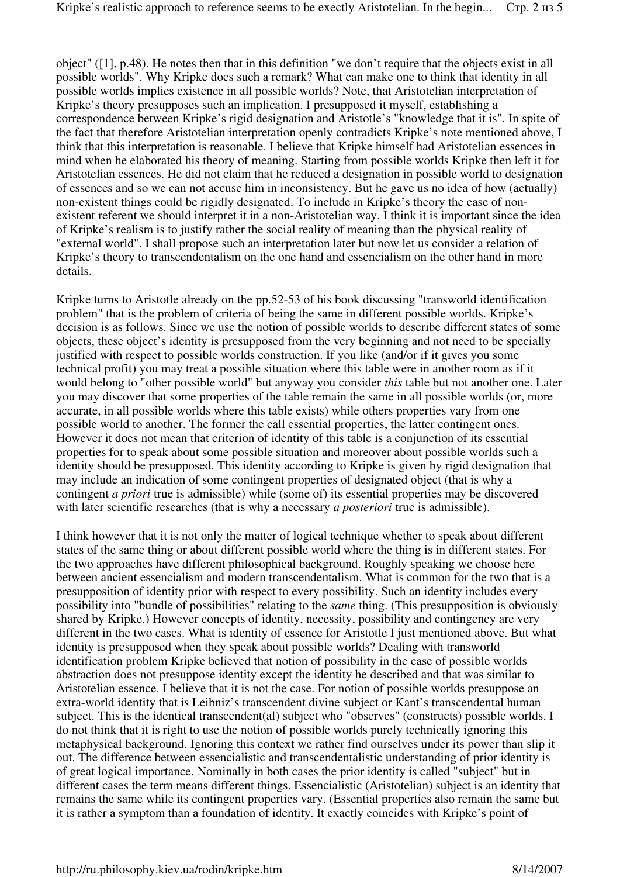object" ([1], p.48). He notes then that in this definition "we don't require that the objects exist in all possible worlds". Why Kripke does such a remark? What can make one to think that identity in all possible worlds implies existence in all possible worlds? Note, that Aristotelian interpretation of Kripke's theory presupposes such an implication. I presupposed it myself, establishing a correspondence between Kripke's rigid designation and Aristotle's "knowledge that it is". In spite of the fact that therefore Aristotelian interpretation openly contradicts Kripke's note mentioned above, I think that this interpretation is reasonable. I believe that Kripke himself had Aristotelian essences in mind when he elaborated his theory of meaning. Starting from possible worlds Kripke then left it for Aristotelian essences. He did not claim that he reduced a designation in possible world to designation of essences and so we can not accuse him in inconsistency. But he gave us no idea of how (actually) non-existent things could be rigidly designated. To include in Kripke's theory the case of nonexistent referent we should interpret it in a non-Aristotelian way. I think it is important since the idea of Kripke's realism is to justify rather the social reality of meaning than the physical reality of "external world". I shall propose such an interpretation later but now let us consider a relation of Kripke's theory to transcendentalism on the one hand and essencialism on the other hand in more details.

Kripke turns to Aristotle already on the pp.52-53 of his book discussing "transworld identification problem" that is the problem of criteria of being the same in different possible worlds. Kripke's decision is as follows. Since we use the notion of possible worlds to describe different states of some objects, these object's identity is presupposed from the very beginning and not need to be specially justified with respect to possible worlds construction. If you like (and/or if it gives you some technical profit) you may treat a possible situation where this table were in another room as if it would belong to "other possible world" but anyway you consider *this* table but not another one. Later you may discover that some properties of the table remain the same in all possible worlds (or, more accurate, in all possible worlds where this table exists) while others properties vary from one possible world to another. The former the call essential properties, the latter contingent ones. However it does not mean that criterion of identity of this table is a conjunction of its essential properties for to speak about some possible situation and moreover about possible worlds such a identity should be presupposed. This identity according to Kripke is given by rigid designation that may include an indication of some contingent properties of designated object (that is why a contingent *a priori* true is admissible) while (some of) its essential properties may be discovered with later scientific researches (that is why a necessary *a posteriori* true is admissible).

I think however that it is not only the matter of logical technique whether to speak about different states of the same thing or about different possible world where the thing is in different states. For the two approaches have different philosophical background. Roughly speaking we choose here between ancient essencialism and modern transcendentalism. What is common for the two that is a presupposition of identity prior with respect to every possibility. Such an identity includes every possibility into "bundle of possibilities" relating to the *same* thing. (This presupposition is obviously shared by Kripke.) However concepts of identity, necessity, possibility and contingency are very different in the two cases. What is identity of essence for Aristotle I just mentioned above. But what identity is presupposed when they speak about possible worlds? Dealing with transworld identification problem Kripke believed that notion of possibility in the case of possible worlds abstraction does not presuppose identity except the identity he described and that was similar to Aristotelian essence. I believe that it is not the case. For notion of possible worlds presuppose an extra-world identity that is Leibniz's transcendent divine subject or Kant's transcendental human subject. This is the identical transcendent(al) subject who "observes" (constructs) possible worlds. I do not think that it is right to use the notion of possible worlds purely technically ignoring this metaphysical background. Ignoring this context we rather find ourselves under its power than slip it out. The difference between essencialistic and transcendentalistic understanding of prior identity is of great logical importance. Nominally in both cases the prior identity is called "subject" but in different cases the term means different things. Essencialistic (Aristotelian) subject is an identity that remains the same while its contingent properties vary. (Essential properties also remain the same but it is rather a symptom than a foundation of identity. It exactly coincides with Kripke's point of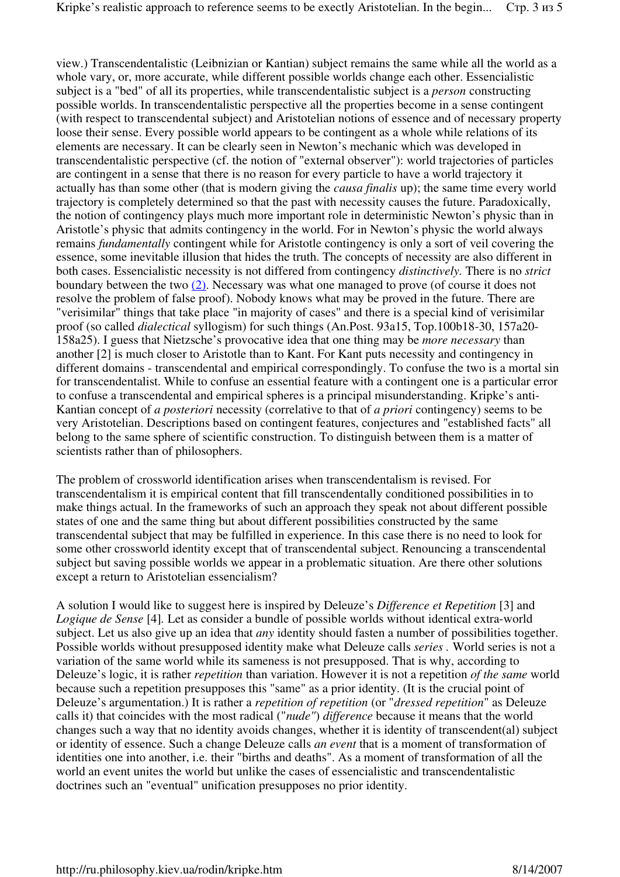view.) Transcendentalistic (Leibnizian or Kantian) subject remains the same while all the world as a whole vary, or, more accurate, while different possible worlds change each other. Essencialistic subject is a "bed" of all its properties, while transcendentalistic subject is a *person* constructing possible worlds. In transcendentalistic perspective all the properties become in a sense contingent (with respect to transcendental subject) and Aristotelian notions of essence and of necessary property loose their sense. Every possible world appears to be contingent as a whole while relations of its elements are necessary. It can be clearly seen in Newton's mechanic which was developed in transcendentalistic perspective (cf. the notion of "external observer"): world trajectories of particles are contingent in a sense that there is no reason for every particle to have a world trajectory it actually has than some other (that is modern giving the *causa finalis* up); the same time every world trajectory is completely determined so that the past with necessity causes the future. Paradoxically, the notion of contingency plays much more important role in deterministic Newton's physic than in Aristotle's physic that admits contingency in the world. For in Newton's physic the world always remains *fundamentally* contingent while for Aristotle contingency is only a sort of veil covering the essence, some inevitable illusion that hides the truth. The concepts of necessity are also different in both cases. Essencialistic necessity is not differed from contingency *distinctively.* There is no *strict* boundary between the two (2). Necessary was what one managed to prove (of course it does not resolve the problem of false proof). Nobody knows what may be proved in the future. There are "verisimilar" things that take place "in majority of cases" and there is a special kind of verisimilar proof (so called *dialectical* syllogism) for such things (An.Post. 93a15, Top.100b18-30, 157a20- 158a25). I guess that Nietzsche's provocative idea that one thing may be *more necessary* than another [2] is much closer to Aristotle than to Kant. For Kant puts necessity and contingency in different domains - transcendental and empirical correspondingly. To confuse the two is a mortal sin for transcendentalist. While to confuse an essential feature with a contingent one is a particular error to confuse a transcendental and empirical spheres is a principal misunderstanding. Kripke's anti-Kantian concept of *a posteriori* necessity (correlative to that of *a priori* contingency) seems to be very Aristotelian. Descriptions based on contingent features, conjectures and "established facts" all belong to the same sphere of scientific construction. To distinguish between them is a matter of scientists rather than of philosophers.

The problem of crossworld identification arises when transcendentalism is revised. For transcendentalism it is empirical content that fill transcendentally conditioned possibilities in to make things actual. In the frameworks of such an approach they speak not about different possible states of one and the same thing but about different possibilities constructed by the same transcendental subject that may be fulfilled in experience. In this case there is no need to look for some other crossworld identity except that of transcendental subject. Renouncing a transcendental subject but saving possible worlds we appear in a problematic situation. Are there other solutions except a return to Aristotelian essencialism?

A solution I would like to suggest here is inspired by Deleuze's *Difference et Repetition* [3] and *Logique de Sense* [4]*.* Let as consider a bundle of possible worlds without identical extra-world subject. Let us also give up an idea that *any* identity should fasten a number of possibilities together. Possible worlds without presupposed identity make what Deleuze calls *series .* World series is not a variation of the same world while its sameness is not presupposed. That is why, according to Deleuze's logic, it is rather *repetition* than variation. However it is not a repetition *of the same* world because such a repetition presupposes this "same" as a prior identity. (It is the crucial point of Deleuze's argumentation.) It is rather a *repetition of repetition* (or "*dressed repetition*" as Deleuze calls it) that coincides with the most radical ("*nude"*) *difference* because it means that the world changes such a way that no identity avoids changes, whether it is identity of transcendent(al) subject or identity of essence. Such a change Deleuze calls *an event* that is a moment of transformation of identities one into another, i.e. their "births and deaths". As a moment of transformation of all the world an event unites the world but unlike the cases of essencialistic and transcendentalistic doctrines such an "eventual" unification presupposes no prior identity.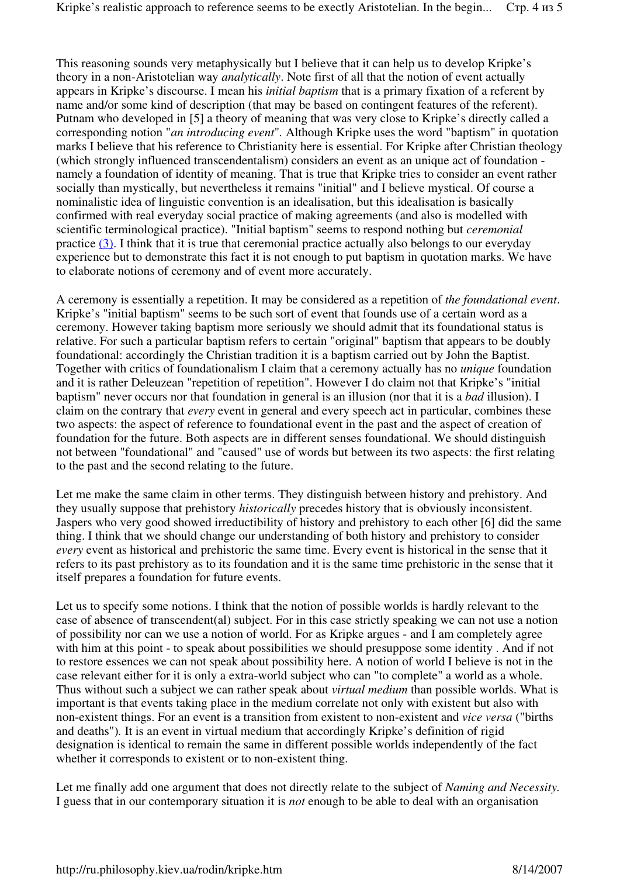This reasoning sounds very metaphysically but I believe that it can help us to develop Kripke's theory in a non-Aristotelian way *analytically*. Note first of all that the notion of event actually appears in Kripke's discourse. I mean his *initial baptism* that is a primary fixation of a referent by name and/or some kind of description (that may be based on contingent features of the referent). Putnam who developed in [5] a theory of meaning that was very close to Kripke's directly called a corresponding notion "*an introducing event*"*.* Although Kripke uses the word "baptism" in quotation marks I believe that his reference to Christianity here is essential. For Kripke after Christian theology (which strongly influenced transcendentalism) considers an event as an unique act of foundation namely a foundation of identity of meaning. That is true that Kripke tries to consider an event rather socially than mystically, but nevertheless it remains "initial" and I believe mystical. Of course a nominalistic idea of linguistic convention is an idealisation, but this idealisation is basically confirmed with real everyday social practice of making agreements (and also is modelled with scientific terminological practice). "Initial baptism" seems to respond nothing but *ceremonial* practice (3). I think that it is true that ceremonial practice actually also belongs to our everyday experience but to demonstrate this fact it is not enough to put baptism in quotation marks. We have to elaborate notions of ceremony and of event more accurately.

A ceremony is essentially a repetition. It may be considered as a repetition of *the foundational event*. Kripke's "initial baptism" seems to be such sort of event that founds use of a certain word as a ceremony. However taking baptism more seriously we should admit that its foundational status is relative. For such a particular baptism refers to certain "original" baptism that appears to be doubly foundational: accordingly the Christian tradition it is a baptism carried out by John the Baptist. Together with critics of foundationalism I claim that a ceremony actually has no *unique* foundation and it is rather Deleuzean "repetition of repetition". However I do claim not that Kripke's "initial baptism" never occurs nor that foundation in general is an illusion (nor that it is a *bad* illusion). I claim on the contrary that *every* event in general and every speech act in particular, combines these two aspects: the aspect of reference to foundational event in the past and the aspect of creation of foundation for the future. Both aspects are in different senses foundational. We should distinguish not between "foundational" and "caused" use of words but between its two aspects: the first relating to the past and the second relating to the future.

Let me make the same claim in other terms. They distinguish between history and prehistory. And they usually suppose that prehistory *historically* precedes history that is obviously inconsistent. Jaspers who very good showed irreductibility of history and prehistory to each other [6] did the same thing. I think that we should change our understanding of both history and prehistory to consider *every* event as historical and prehistoric the same time. Every event is historical in the sense that it refers to its past prehistory as to its foundation and it is the same time prehistoric in the sense that it itself prepares a foundation for future events.

Let us to specify some notions. I think that the notion of possible worlds is hardly relevant to the case of absence of transcendent(al) subject. For in this case strictly speaking we can not use a notion of possibility nor can we use a notion of world. For as Kripke argues - and I am completely agree with him at this point - to speak about possibilities we should presuppose some identity . And if not to restore essences we can not speak about possibility here. A notion of world I believe is not in the case relevant either for it is only a extra-world subject who can "to complete" a world as a whole. Thus without such a subject we can rather speak about *virtual medium* than possible worlds. What is important is that events taking place in the medium correlate not only with existent but also with non-existent things. For an event is a transition from existent to non-existent and *vice versa* ("births and deaths")*.* It is an event in virtual medium that accordingly Kripke's definition of rigid designation is identical to remain the same in different possible worlds independently of the fact whether it corresponds to existent or to non-existent thing.

Let me finally add one argument that does not directly relate to the subject of *Naming and Necessity.*  I guess that in our contemporary situation it is *not* enough to be able to deal with an organisation